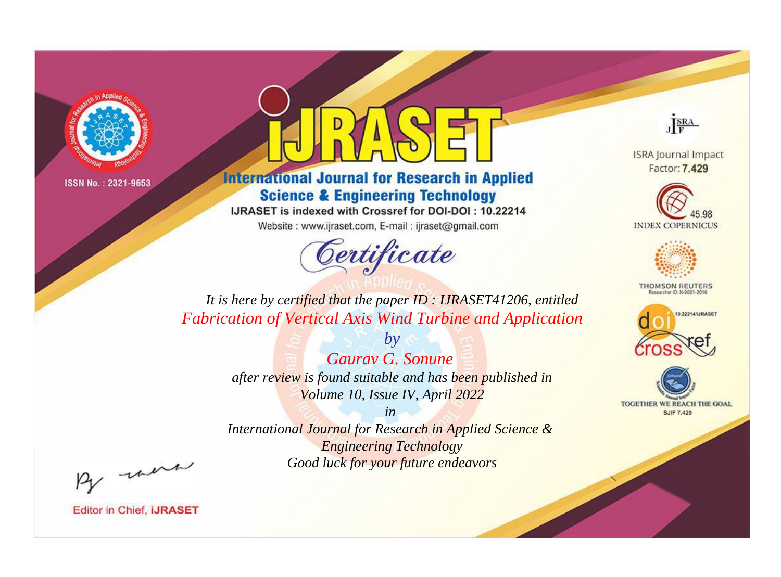

## **International Journal for Research in Applied Science & Engineering Technology**

IJRASET is indexed with Crossref for DOI-DOI: 10.22214

Website: www.ijraset.com, E-mail: ijraset@gmail.com

# Certificate



**ISRA Journal Impact** Factor: 7.429





**THOMSON REUTERS** 



TOGETHER WE REACH THE GOAL **SJIF 7.429** 

*It is here by certified that the paper ID : IJRASET41206, entitled Fabrication of Vertical Axis Wind Turbine and Application*

> *Gaurav G. Sonune after review is found suitable and has been published in Volume 10, Issue IV, April 2022*

*by*

*in* 

*International Journal for Research in Applied Science & Engineering Technology Good luck for your future endeavors*

By morn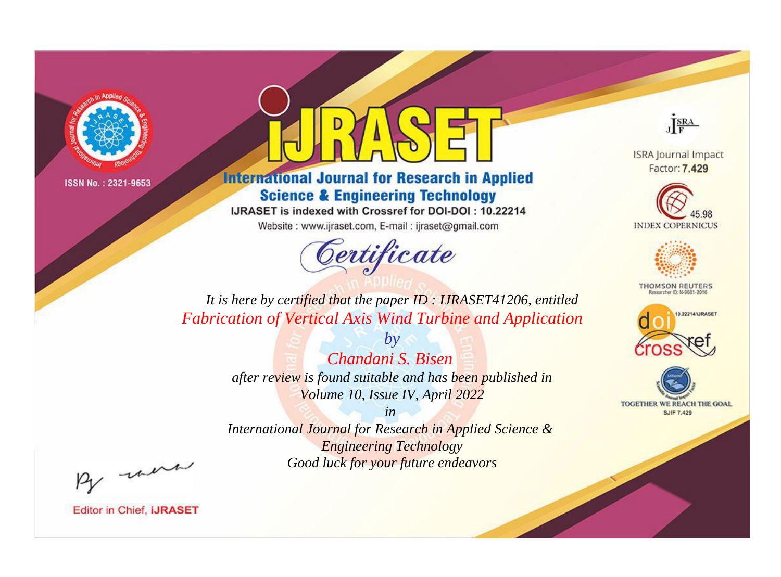

## **International Journal for Research in Applied Science & Engineering Technology**

IJRASET is indexed with Crossref for DOI-DOI: 10.22214

Website: www.ijraset.com, E-mail: ijraset@gmail.com



JERA

**ISRA Journal Impact** Factor: 7.429





**THOMSON REUTERS** 



TOGETHER WE REACH THE GOAL **SJIF 7.429** 

It is here by certified that the paper ID: IJRASET41206, entitled **Fabrication of Vertical Axis Wind Turbine and Application** 

> Chandani S. Bisen after review is found suitable and has been published in Volume 10, Issue IV, April 2022

 $b\nu$ 

 $in$ International Journal for Research in Applied Science & **Engineering Technology** Good luck for your future endeavors

By morn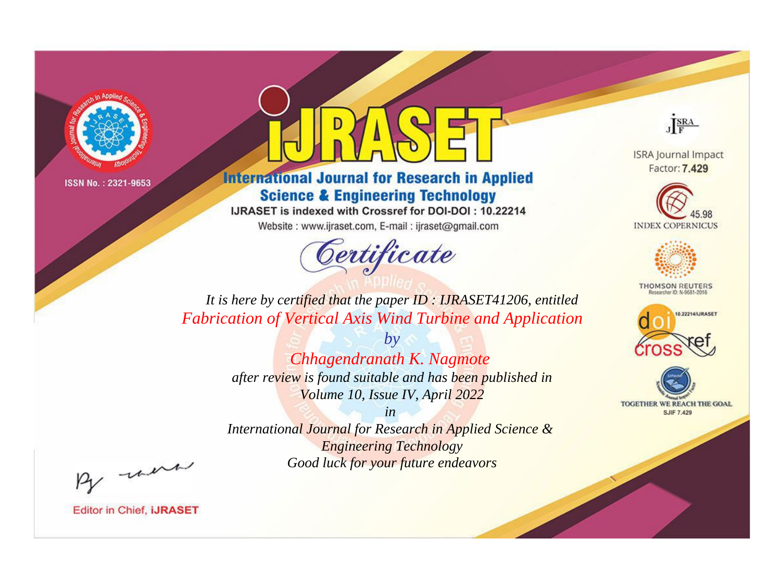

## **International Journal for Research in Applied Science & Engineering Technology**

IJRASET is indexed with Crossref for DOI-DOI: 10.22214

Website: www.ijraset.com, E-mail: ijraset@gmail.com

# Certificate



**ISRA Journal Impact** Factor: 7.429





**THOMSON REUTERS** 



TOGETHER WE REACH THE GOAL **SJIF 7.429** 

*It is here by certified that the paper ID : IJRASET41206, entitled Fabrication of Vertical Axis Wind Turbine and Application*

> *by Chhagendranath K. Nagmote after review is found suitable and has been published in Volume 10, Issue IV, April 2022*

> > *in*

*International Journal for Research in Applied Science & Engineering Technology Good luck for your future endeavors*

By morn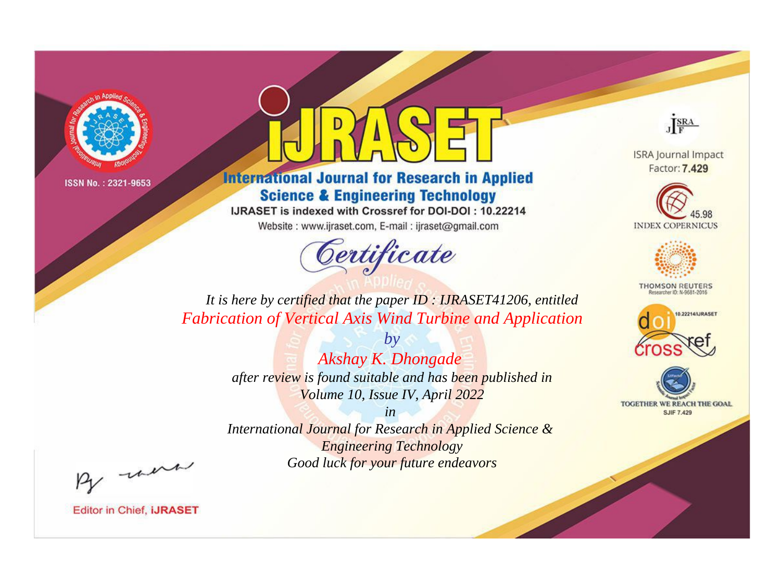

## **International Journal for Research in Applied Science & Engineering Technology**

IJRASET is indexed with Crossref for DOI-DOI: 10.22214

Website: www.ijraset.com, E-mail: ijraset@gmail.com



JERA

**ISRA Journal Impact** Factor: 7.429





**THOMSON REUTERS** 



TOGETHER WE REACH THE GOAL **SJIF 7.429** 

It is here by certified that the paper ID: IJRASET41206, entitled **Fabrication of Vertical Axis Wind Turbine and Application** 

> Akshay K. Dhongade after review is found suitable and has been published in Volume 10, Issue IV, April 2022

 $by$ 

 $in$ International Journal for Research in Applied Science & **Engineering Technology** Good luck for your future endeavors

By morn